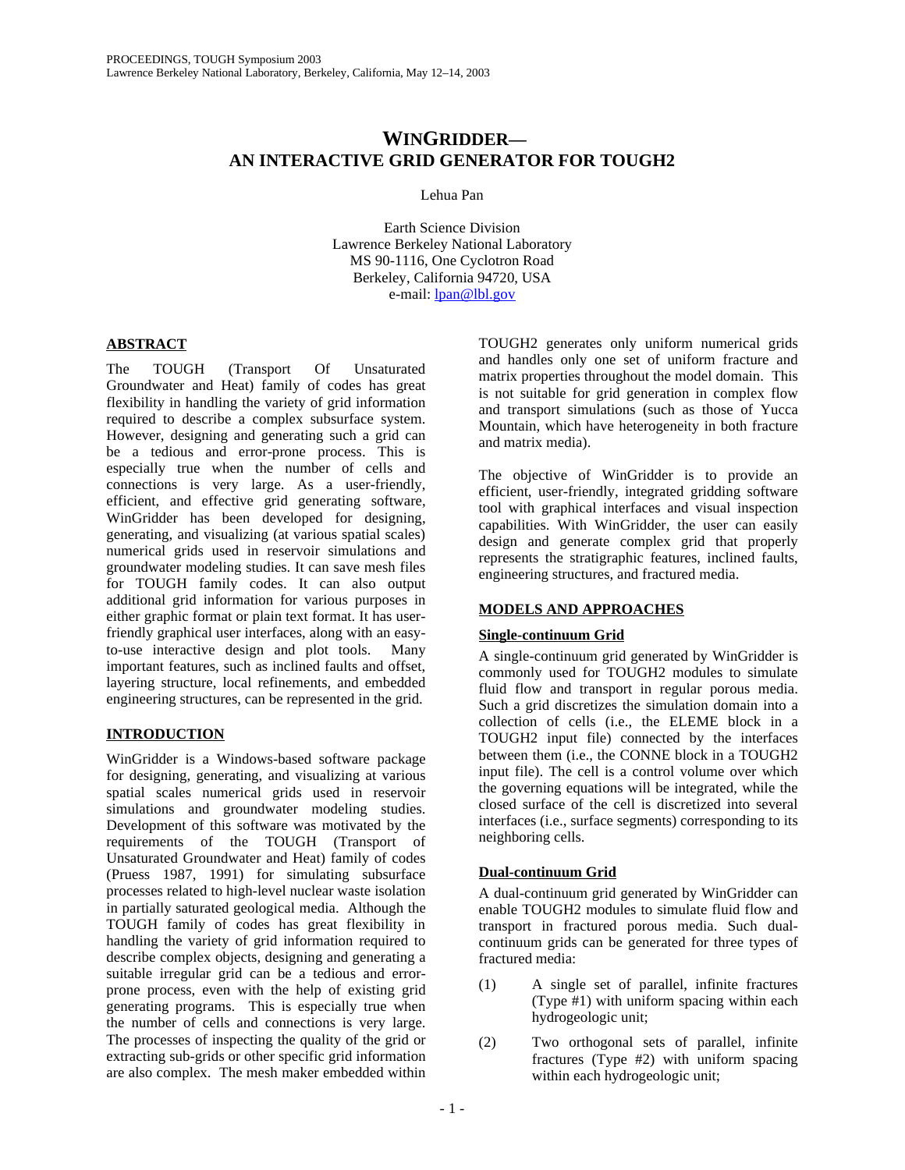# **WINGRIDDER— AN INTERACTIVE GRID GENERATOR FOR TOUGH2**

Lehua Pan

Earth Science Division Lawrence Berkeley National Laboratory MS 90-1116, One Cyclotron Road Berkeley, California 94720, USA e-mail: lpan@lbl.gov

# **ABSTRACT**

The TOUGH (Transport Of Unsaturated Groundwater and Heat) family of codes has great flexibility in handling the variety of grid information required to describe a complex subsurface system. However, designing and generating such a grid can be a tedious and error-prone process. This is especially true when the number of cells and connections is very large. As a user-friendly, efficient, and effective grid generating software, WinGridder has been developed for designing, generating, and visualizing (at various spatial scales) numerical grids used in reservoir simulations and groundwater modeling studies. It can save mesh files for TOUGH family codes. It can also output additional grid information for various purposes in either graphic format or plain text format. It has userfriendly graphical user interfaces, along with an easyto-use interactive design and plot tools. Many important features, such as inclined faults and offset, layering structure, local refinements, and embedded engineering structures, can be represented in the grid.

# **INTRODUCTION**

WinGridder is a Windows-based software package for designing, generating, and visualizing at various spatial scales numerical grids used in reservoir simulations and groundwater modeling studies. Development of this software was motivated by the requirements of the TOUGH (Transport of Unsaturated Groundwater and Heat) family of codes (Pruess 1987, 1991) for simulating subsurface processes related to high-level nuclear waste isolation in partially saturated geological media. Although the TOUGH family of codes has great flexibility in handling the variety of grid information required to describe complex objects, designing and generating a suitable irregular grid can be a tedious and errorprone process, even with the help of existing grid generating programs. This is especially true when the number of cells and connections is very large. The processes of inspecting the quality of the grid or extracting sub-grids or other specific grid information are also complex. The mesh maker embedded within

TOUGH2 generates only uniform numerical grids and handles only one set of uniform fracture and matrix properties throughout the model domain. This is not suitable for grid generation in complex flow and transport simulations (such as those of Yucca Mountain, which have heterogeneity in both fracture and matrix media).

The objective of WinGridder is to provide an efficient, user-friendly, integrated gridding software tool with graphical interfaces and visual inspection capabilities. With WinGridder, the user can easily design and generate complex grid that properly represents the stratigraphic features, inclined faults, engineering structures, and fractured media.

# **MODELS AND APPROACHES**

# **Single-continuum Grid**

A single-continuum grid generated by WinGridder is commonly used for TOUGH2 modules to simulate fluid flow and transport in regular porous media. Such a grid discretizes the simulation domain into a collection of cells (i.e., the ELEME block in a TOUGH2 input file) connected by the interfaces between them (i.e., the CONNE block in a TOUGH2 input file). The cell is a control volume over which the governing equations will be integrated, while the closed surface of the cell is discretized into several interfaces (i.e., surface segments) corresponding to its neighboring cells.

# **Dual-continuum Grid**

A dual-continuum grid generated by WinGridder can enable TOUGH2 modules to simulate fluid flow and transport in fractured porous media. Such dualcontinuum grids can be generated for three types of fractured media:

- (1) A single set of parallel, infinite fractures (Type #1) with uniform spacing within each hydrogeologic unit;
- (2) Two orthogonal sets of parallel, infinite fractures (Type #2) with uniform spacing within each hydrogeologic unit;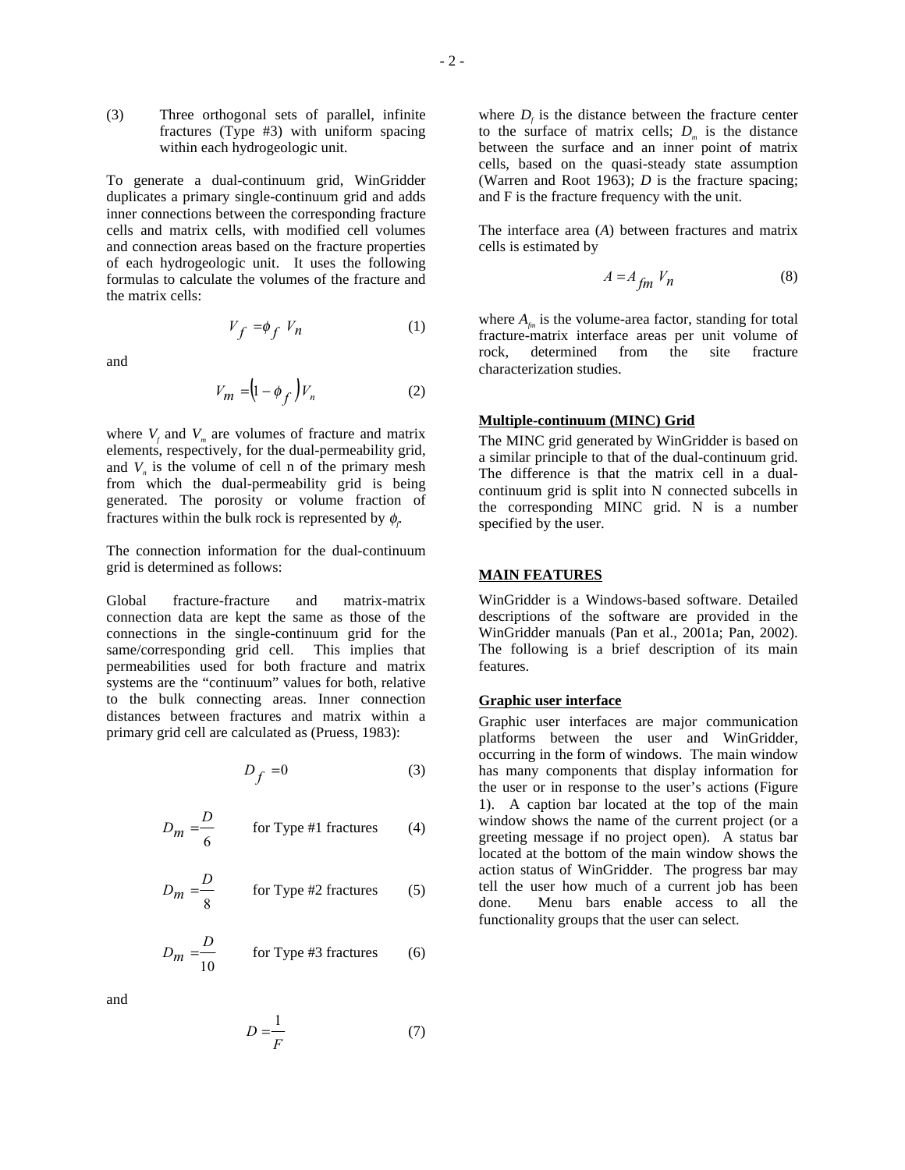(3) Three orthogonal sets of parallel, infinite fractures (Type #3) with uniform spacing within each hydrogeologic unit.

To generate a dual-continuum grid, WinGridder duplicates a primary single-continuum grid and adds inner connections between the corresponding fracture cells and matrix cells, with modified cell volumes and connection areas based on the fracture properties of each hydrogeologic unit. It uses the following formulas to calculate the volumes of the fracture and the matrix cells:

$$
V_f = \phi_f V_n \tag{1}
$$

and

$$
V_m = \left(1 - \phi_f\right) V_n \tag{2}
$$

where  $V_f$  and  $V_m$  are volumes of fracture and matrix elements, respectively, for the dual-permeability grid, and  $V_n$  is the volume of cell n of the primary mesh from which the dual-permeability grid is being generated. The porosity or volume fraction of fractures within the bulk rock is represented by  $\phi_f$ .

The connection information for the dual-continuum grid is determined as follows:

Global fracture-fracture and matrix-matrix connection data are kept the same as those of the connections in the single-continuum grid for the same/corresponding grid cell. This implies that permeabilities used for both fracture and matrix systems are the "continuum" values for both, relative to the bulk connecting areas. Inner connection distances between fractures and matrix within a primary grid cell are calculated as (Pruess, 1983):

$$
D_f = 0 \tag{3}
$$

$$
D_m = \frac{D}{6}
$$
 for Type #1 fractures (4)

$$
D_m = \frac{D}{8}
$$
 for Type #2 fractures (5)

$$
D_m = \frac{D}{10}
$$
 for Type #3 fractures (6)

and

$$
D = \frac{1}{F} \tag{7}
$$

where  $D_f$  is the distance between the fracture center to the surface of matrix cells;  $D<sub>m</sub>$  is the distance between the surface and an inner point of matrix cells, based on the quasi-steady state assumption (Warren and Root 1963); *D* is the fracture spacing; and F is the fracture frequency with the unit.

The interface area (*A*) between fractures and matrix cells is estimated by

$$
A = A_{fm} V_n \tag{8}
$$

where  $A_{\ell m}$  is the volume-area factor, standing for total fracture-matrix interface areas per unit volume of rock, determined from the site fracture characterization studies.

### **Multiple-continuum (MINC) Grid**

The MINC grid generated by WinGridder is based on a similar principle to that of the dual-continuum grid. The difference is that the matrix cell in a dualcontinuum grid is split into N connected subcells in the corresponding MINC grid. N is a number specified by the user.

#### **MAIN FEATURES**

WinGridder is a Windows-based software. Detailed descriptions of the software are provided in the WinGridder manuals (Pan et al., 2001a; Pan, 2002). The following is a brief description of its main features.

#### **Graphic user interface**

Graphic user interfaces are major communication platforms between the user and WinGridder, occurring in the form of windows. The main window has many components that display information for the user or in response to the user's actions (Figure 1). A caption bar located at the top of the main window shows the name of the current project (or a greeting message if no project open). A status bar located at the bottom of the main window shows the action status of WinGridder. The progress bar may tell the user how much of a current job has been done. Menu bars enable access to all the functionality groups that the user can select.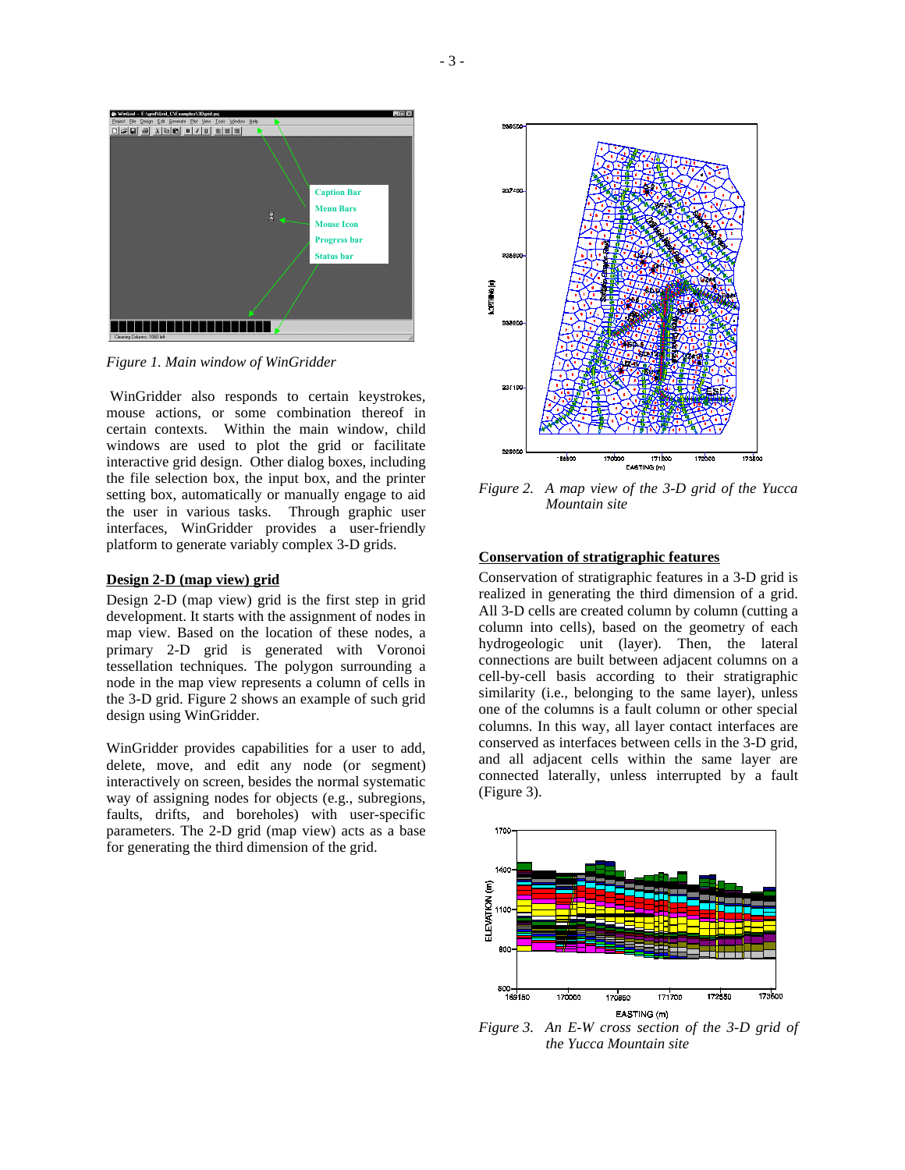

*Figure 1. Main window of WinGridder* 

 WinGridder also responds to certain keystrokes, mouse actions, or some combination thereof in certain contexts. Within the main window, child windows are used to plot the grid or facilitate interactive grid design. Other dialog boxes, including the file selection box, the input box, and the printer setting box, automatically or manually engage to aid the user in various tasks. Through graphic user interfaces, WinGridder provides a user-friendly platform to generate variably complex 3-D grids.

#### **Design 2-D (map view) grid**

Design 2-D (map view) grid is the first step in grid development. It starts with the assignment of nodes in map view. Based on the location of these nodes, a primary 2-D grid is generated with Voronoi tessellation techniques. The polygon surrounding a node in the map view represents a column of cells in the 3-D grid. Figure 2 shows an example of such grid design using WinGridder.

WinGridder provides capabilities for a user to add, delete, move, and edit any node (or segment) interactively on screen, besides the normal systematic way of assigning nodes for objects (e.g., subregions, faults, drifts, and boreholes) with user-specific parameters. The 2-D grid (map view) acts as a base for generating the third dimension of the grid.



*Figure 2. A map view of the 3-D grid of the Yucca Mountain site* 

### **Conservation of stratigraphic features**

Conservation of stratigraphic features in a 3-D grid is realized in generating the third dimension of a grid. All 3-D cells are created column by column (cutting a column into cells), based on the geometry of each hydrogeologic unit (layer). Then, the lateral connections are built between adjacent columns on a cell-by-cell basis according to their stratigraphic similarity (i.e., belonging to the same layer), unless one of the columns is a fault column or other special columns. In this way, all layer contact interfaces are conserved as interfaces between cells in the 3-D grid, and all adjacent cells within the same layer are connected laterally, unless interrupted by a fault (Figure 3).



*Figure 3. An E-W cross section of the 3-D grid of the Yucca Mountain site*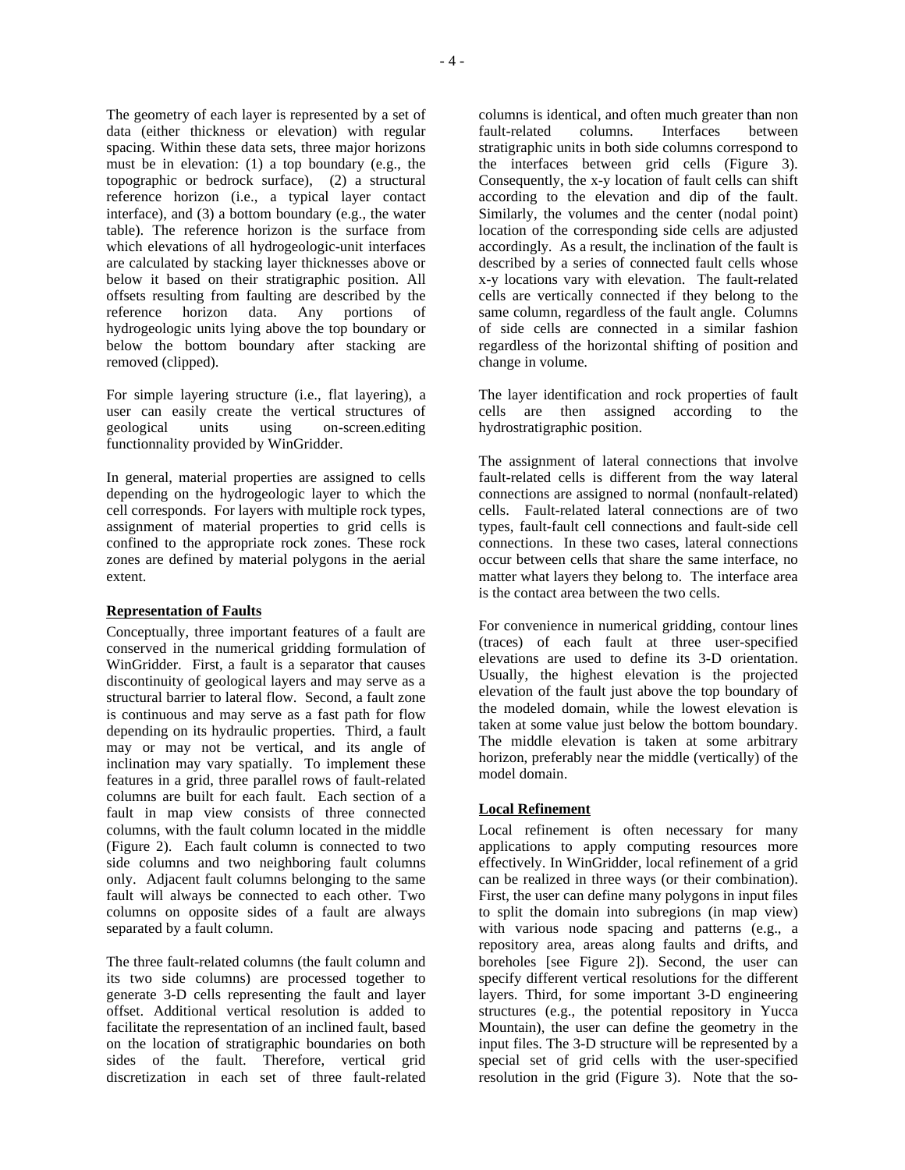The geometry of each layer is represented by a set of data (either thickness or elevation) with regular spacing. Within these data sets, three major horizons must be in elevation: (1) a top boundary (e.g., the topographic or bedrock surface), (2) a structural reference horizon (i.e., a typical layer contact interface), and (3) a bottom boundary (e.g., the water table). The reference horizon is the surface from which elevations of all hydrogeologic-unit interfaces are calculated by stacking layer thicknesses above or below it based on their stratigraphic position. All offsets resulting from faulting are described by the reference horizon data. Any portions of hydrogeologic units lying above the top boundary or below the bottom boundary after stacking are removed (clipped).

For simple layering structure (i.e., flat layering), a user can easily create the vertical structures of geological units using on-screen.editing functionnality provided by WinGridder.

In general, material properties are assigned to cells depending on the hydrogeologic layer to which the cell corresponds. For layers with multiple rock types, assignment of material properties to grid cells is confined to the appropriate rock zones. These rock zones are defined by material polygons in the aerial extent.

### **Representation of Faults**

Conceptually, three important features of a fault are conserved in the numerical gridding formulation of WinGridder. First, a fault is a separator that causes discontinuity of geological layers and may serve as a structural barrier to lateral flow. Second, a fault zone is continuous and may serve as a fast path for flow depending on its hydraulic properties. Third, a fault may or may not be vertical, and its angle of inclination may vary spatially. To implement these features in a grid, three parallel rows of fault-related columns are built for each fault. Each section of a fault in map view consists of three connected columns, with the fault column located in the middle (Figure 2). Each fault column is connected to two side columns and two neighboring fault columns only. Adjacent fault columns belonging to the same fault will always be connected to each other. Two columns on opposite sides of a fault are always separated by a fault column.

The three fault-related columns (the fault column and its two side columns) are processed together to generate 3-D cells representing the fault and layer offset. Additional vertical resolution is added to facilitate the representation of an inclined fault, based on the location of stratigraphic boundaries on both sides of the fault. Therefore, vertical grid discretization in each set of three fault-related

columns is identical, and often much greater than non fault-related columns. Interfaces between stratigraphic units in both side columns correspond to the interfaces between grid cells (Figure 3). Consequently, the x-y location of fault cells can shift according to the elevation and dip of the fault. Similarly, the volumes and the center (nodal point) location of the corresponding side cells are adjusted accordingly. As a result, the inclination of the fault is described by a series of connected fault cells whose x-y locations vary with elevation. The fault-related cells are vertically connected if they belong to the same column, regardless of the fault angle. Columns of side cells are connected in a similar fashion regardless of the horizontal shifting of position and change in volume.

The layer identification and rock properties of fault cells are then assigned according to the hydrostratigraphic position.

The assignment of lateral connections that involve fault-related cells is different from the way lateral connections are assigned to normal (nonfault-related) cells. Fault-related lateral connections are of two types, fault-fault cell connections and fault-side cell connections. In these two cases, lateral connections occur between cells that share the same interface, no matter what layers they belong to. The interface area is the contact area between the two cells.

For convenience in numerical gridding, contour lines (traces) of each fault at three user-specified elevations are used to define its 3-D orientation. Usually, the highest elevation is the projected elevation of the fault just above the top boundary of the modeled domain, while the lowest elevation is taken at some value just below the bottom boundary. The middle elevation is taken at some arbitrary horizon, preferably near the middle (vertically) of the model domain.

### **Local Refinement**

Local refinement is often necessary for many applications to apply computing resources more effectively. In WinGridder, local refinement of a grid can be realized in three ways (or their combination). First, the user can define many polygons in input files to split the domain into subregions (in map view) with various node spacing and patterns (e.g., a repository area, areas along faults and drifts, and boreholes [see Figure 2]). Second, the user can specify different vertical resolutions for the different layers. Third, for some important 3-D engineering structures (e.g., the potential repository in Yucca Mountain), the user can define the geometry in the input files. The 3-D structure will be represented by a special set of grid cells with the user-specified resolution in the grid (Figure 3). Note that the so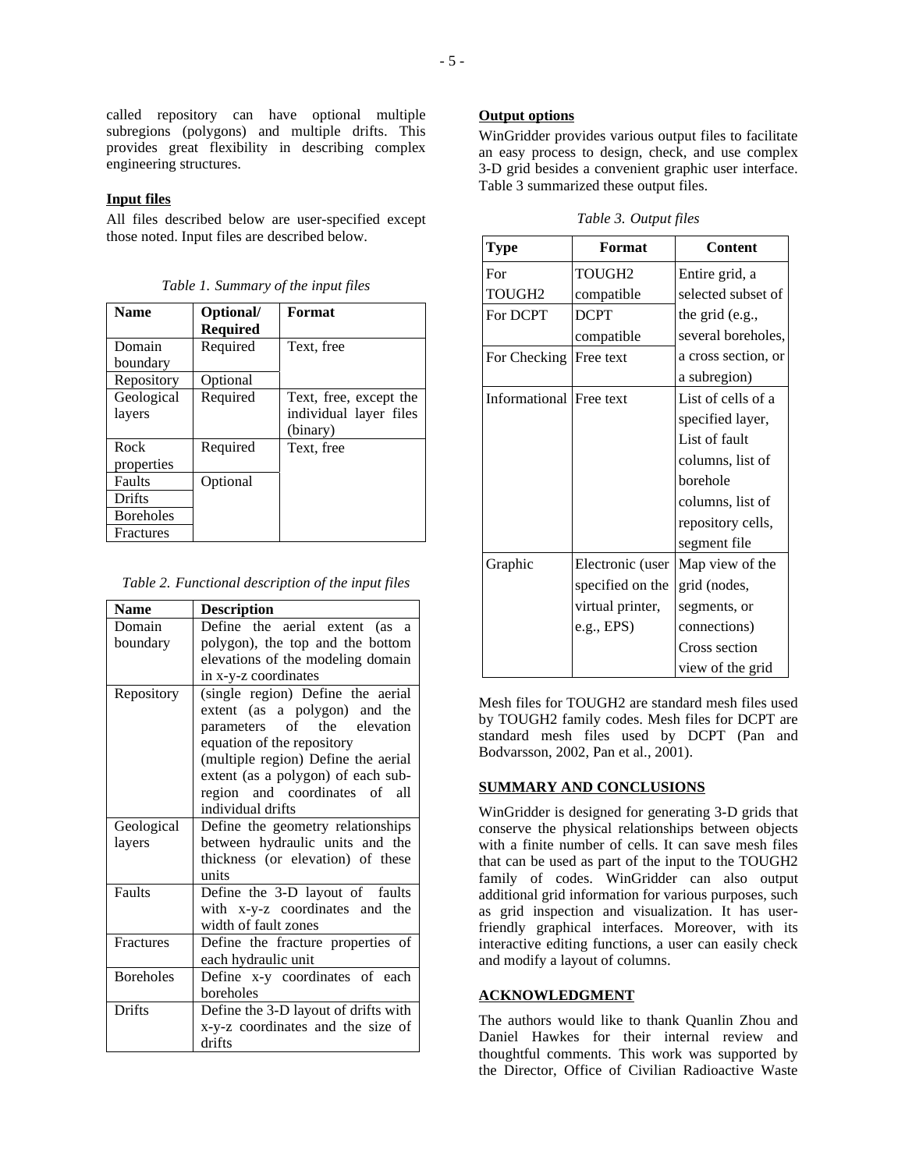called repository can have optional multiple subregions (polygons) and multiple drifts. This provides great flexibility in describing complex engineering structures.

# **Input files**

All files described below are user-specified except those noted. Input files are described below.

| <b>Name</b>          | Optional/<br><b>Required</b> | Format                                                       |
|----------------------|------------------------------|--------------------------------------------------------------|
| Domain<br>boundary   | Required                     | Text, free                                                   |
| Repository           | Optional                     |                                                              |
| Geological<br>layers | Required                     | Text, free, except the<br>individual layer files<br>(binary) |
| Rock<br>properties   | Required                     | Text, free                                                   |
| Faults               | Optional                     |                                                              |
| Drifts               |                              |                                                              |
| <b>Boreholes</b>     |                              |                                                              |
| Fractures            |                              |                                                              |

*Table 1. Summary of the input files* 

|  | Table 2. Functional description of the input files |  |
|--|----------------------------------------------------|--|
|  |                                                    |  |

| <b>Name</b>      | <b>Description</b>                   |  |  |
|------------------|--------------------------------------|--|--|
| Domain           | Define the aerial extent (as a       |  |  |
| boundary         | polygon), the top and the bottom     |  |  |
|                  | elevations of the modeling domain    |  |  |
|                  | in x-y-z coordinates                 |  |  |
| Repository       | (single region) Define the aerial    |  |  |
|                  | extent (as a polygon) and the        |  |  |
|                  | parameters of the elevation          |  |  |
|                  | equation of the repository           |  |  |
|                  | (multiple region) Define the aerial  |  |  |
|                  | extent (as a polygon) of each sub-   |  |  |
|                  | region and coordinates of all        |  |  |
|                  | individual drifts                    |  |  |
| Geological       | Define the geometry relationships    |  |  |
| layers           | between hydraulic units and the      |  |  |
|                  | thickness (or elevation) of these    |  |  |
|                  | units                                |  |  |
| Faults           | Define the 3-D layout of faults      |  |  |
|                  | with x-y-z coordinates and the       |  |  |
|                  | width of fault zones                 |  |  |
| <b>Fractures</b> | Define the fracture properties of    |  |  |
|                  | each hydraulic unit                  |  |  |
| <b>Boreholes</b> | Define x-y coordinates of each       |  |  |
|                  | boreholes                            |  |  |
| Drifts           | Define the 3-D layout of drifts with |  |  |
|                  | x-y-z coordinates and the size of    |  |  |
|                  | drifts                               |  |  |

### **Output options**

WinGridder provides various output files to facilitate an easy process to design, check, and use complex 3-D grid besides a convenient graphic user interface. Table 3 summarized these output files.

|  |  |  | Table 3. Output files |  |
|--|--|--|-----------------------|--|
|--|--|--|-----------------------|--|

| Type                    | Format           | <b>Content</b>      |
|-------------------------|------------------|---------------------|
| For                     | TOUGH2           | Entire grid, a      |
| TOUGH2                  | compatible       | selected subset of  |
| For DCPT                | <b>DCPT</b>      | the grid (e.g.,     |
|                         | compatible       | several boreholes,  |
| For Checking            | <b>Free</b> text | a cross section, or |
|                         |                  | a subregion)        |
| Informational Free text |                  | List of cells of a  |
|                         |                  | specified layer,    |
|                         |                  | List of fault       |
|                         |                  | columns, list of    |
|                         |                  | borehole            |
|                         |                  | columns, list of    |
|                         |                  | repository cells,   |
|                         |                  | segment file        |
| Graphic                 | Electronic (user | Map view of the     |
|                         | specified on the | grid (nodes,        |
|                         | virtual printer, | segments, or        |
|                         | e.g., EPS        | connections)        |
|                         |                  | Cross section       |
|                         |                  | view of the grid    |

Mesh files for TOUGH2 are standard mesh files used by TOUGH2 family codes. Mesh files for DCPT are standard mesh files used by DCPT (Pan and Bodvarsson, 2002, Pan et al., 2001).

### **SUMMARY AND CONCLUSIONS**

WinGridder is designed for generating 3-D grids that conserve the physical relationships between objects with a finite number of cells. It can save mesh files that can be used as part of the input to the TOUGH2 family of codes. WinGridder can also output additional grid information for various purposes, such as grid inspection and visualization. It has userfriendly graphical interfaces. Moreover, with its interactive editing functions, a user can easily check and modify a layout of columns.

### **ACKNOWLEDGMENT**

The authors would like to thank Quanlin Zhou and Daniel Hawkes for their internal review and thoughtful comments. This work was supported by the Director, Office of Civilian Radioactive Waste